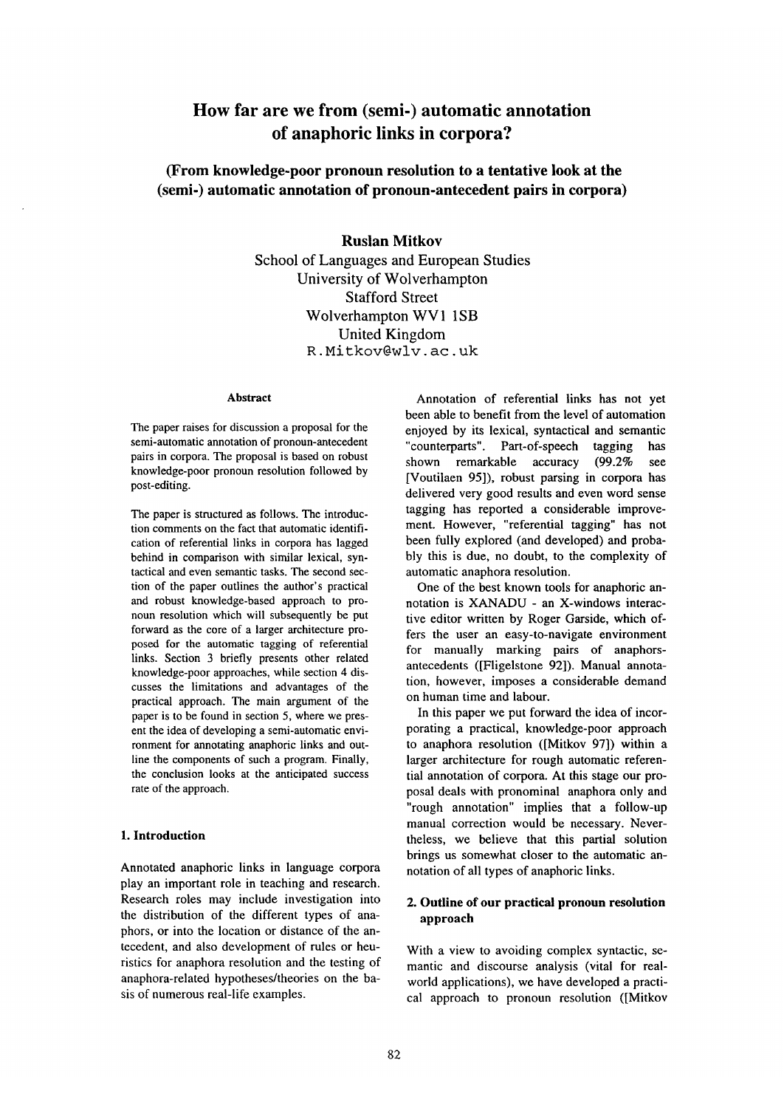# **How far are we from (semi-) automatic annotation of anaphoric links in corpora?**

**(From knowledge-poor pronoun resolution to a tentative look at the (semi-) automatic annotation of pronoun-antecedent pairs in corpora)** 

# **Ruslan Mitkov**

School of Languages and European Studies University of Wolverhampton Stafford Street Wolverhampton WV1 1SB United Kingdom R. Mitkov@wlv. ac. uk

#### **Abstract**

The paper raises for discussion a proposal for the semi-automatic annotation of pronoun-antecedent pairs in corpora. The proposal is based on robust knowledge-poor pronoun resolution followed by post-editing.

The paper is structured as follows. The introduction comments on the fact that automatic identification of referential links in corpora has lagged behind in comparison with similar lexical, syntactical and even semantic tasks. The second section of the paper outlines the author's practical and robust knowledge-based approach to pronoun resolution which will subsequently be put forward as the core of a larger architecture proposed for the automatic tagging of referential links. Section 3 briefly presents other related knowledge-poor approaches, while section 4 discusses the limitations and advantages of the practical approach. The main argument of the paper is to be found in section 5, where we present the idea of developing a semi-automatic environment for annotating anaphoric links and outline the components of such a program. Finally, the conclusion looks at the anticipated success rate of the approach.

## **1. Introduction**

Annotated anaphoric links in language corpora play an important role in teaching and research. Research roles may include investigation into the distribution of the different types of anaphors, or into the location or distance of the antecedent, and also development of rules or heuristics for anaphora resolution and the testing of anaphora-related hypotheses/theories on the basis of numerous real-life examples.

Annotation of referential links has not yet been able to benefit from the level of automation enjoyed by its lexical, syntactical and semantic "counterparts". Part-of-speech tagging has shown remarkable accuracy (99.2% see [Voutilaen 95]), robust parsing in corpora has delivered very good results and even word sense tagging has reported a considerable improvement. However, "referential tagging" has not been fully explored (and developed) and probably this is due, no doubt, to the complexity of automatic anaphora resolution.

One of the best known tools for anaphoric annotation is XANADU - an X-windows interactive editor written by Roger Garside, which offers the user an easy-to-navigate environment for manually marking pairs of anaphorsantecedents ([Fligelstone 92]). Manual annotation, however, imposes a considerable demand on human time and labour.

In this paper we put forward the idea of incorporating a practical, knowledge-poor approach to anaphora resolution ([Mitkov 97]) within a larger architecture for rough automatic referential annotation of corpora. At this stage our proposal deals with pronominal anaphora only and "rough annotation" implies that a follow-up manual correction would be necessary. Nevertheless, we believe that this partial solution brings us somewhat closer to the automatic annotation of all types of anaphoric links.

## **2. Outline of our practical pronoun resolution approach**

With a view to avoiding complex syntactic, semantic and discourse analysis (vital for realworld applications), we have developed a practical approach to pronoun resolution ([Mitkov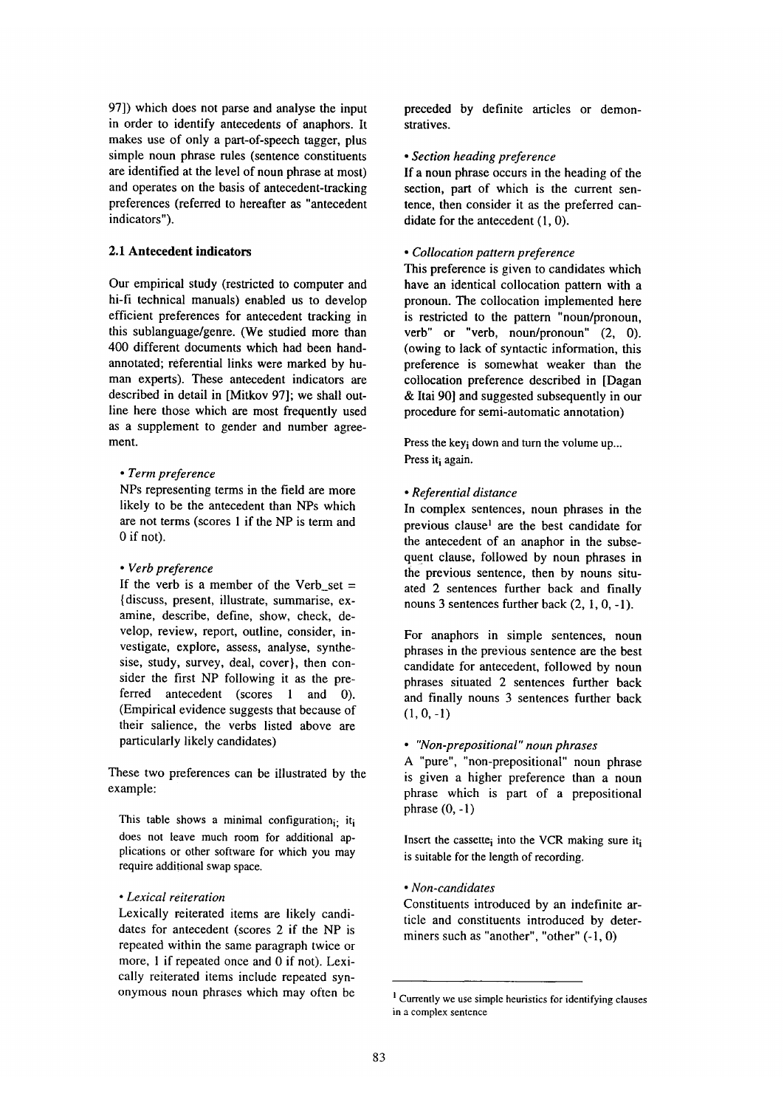97]) which does not parse and analyse the input in order to identify antecedents of anaphors. It makes use of only a part-of-speech tagger, plus simple noun phrase rules (sentence constituents are identified at the level of noun phrase at most) and operates on the basis of antecedent-tracking preferences (referred to hereafter as "antecedent indicators").

## **2.1 Antecedent indicators**

Our empirical study (restricted to computer and hi-fi technical manuals) enabled us to develop efficient preferences for antecedent tracking in this sublanguage/genre. (We studied more than 400 different documents which had been handannotated; referential links were marked by human experts). These antecedent indicators are described in detail in [Mitkov 97]; we shall outline here those which are most frequently used as a supplement to gender and number agreement.

### *• Term preference*

NPs representing terms in the field are more likely to be the antecedent than NPs which are not terms (scores 1 if the NP is term and 0 if not).

### *• Verb preference*

If the verb is a member of the Verb set  $=$ {discuss, present, illustrate, summarise, examine, describe, define, show, check, develop, review, report, outline, consider, investigate, explore, assess, analyse, synthesise, study, survey, deal, cover}, then consider the first NP following it as the preferred antecedent (scores 1 and 0). (Empirical evidence suggests that because of their salience, the verbs listed above are particularly likely candidates)

These two preferences can be illustrated by the example:

This table shows a minimal configuration $\cdots$  it, does not leave much room for additional applications or other software for which you may require additional swap space.

#### *• Lexical reiteration*

Lexically reiterated items are likely candidates for antecedent (scores 2 if the NP is repeated within the same paragraph twice or more, 1 if repeated once and 0 if not). Lexically reiterated items include repeated synonymous noun phrases which may often be preceded by definite articles or demonstratives.

#### *• Section heading preference*

If a noun phrase occurs in the heading of the section, part of which is the current sentence, then consider it as the preferred candidate for the antecedent (1, 0).

## *• Collocation pattern preference*

This preference is given to candidates which have an identical collocation pattern with a pronoun. The collocation implemented here is restricted to the pattern "noun/pronoun, verb" or "verb, noun/pronoun" (2, 0). (owing to lack of syntactic information, this preference is somewhat weaker than the collocation preference described in [Dagan & Itai 90] and suggested subsequently in our procedure for semi-automatic annotation)

Press the key i down and turn the volume up... Press it; again.

#### *• Referential distance*

In complex sentences, noun phrases in the previous clause<sup>1</sup> are the best candidate for the antecedent of an anaphor in the subsequent clause, followed by noun phrases in the previous sentence, then by nouns situated 2 sentences further back and finally nouns 3 sentences further back (2, I, 0, -1).

For anaphors in simple sentences, noun phrases in the previous sentence are the best candidate for antecedent, followed by noun phrases situated 2 sentences further back and finally nouns 3 sentences further back  $(1, 0, -1)$ 

#### *• "Non-prepositional" noun phrases*

A "pure", "non-prepositional" noun phrase is given a higher preference than a noun phrase which is part of a prepositional phrase  $(0, -1)$ 

Insert the cassette; into the VCR making sure it; is suitable for the length of recording.

## *• Non-candidates*

Constituents introduced by an indefinite article and constituents introduced by determiners such as "another", "other" (-1, 0)

<sup>&</sup>lt;sup>1</sup> Currently we use simple heuristics for identifying clauses in a complex sentence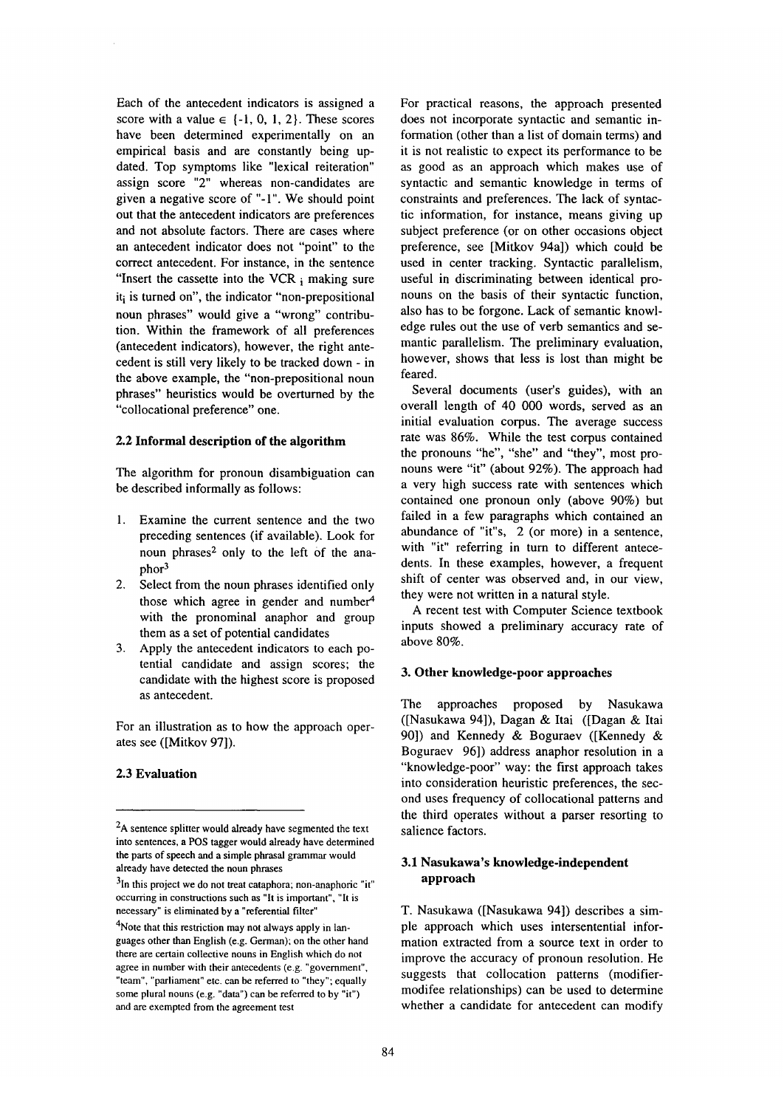Each of the antecedent indicators is assigned a score with a value  $\in \{-1, 0, 1, 2\}$ . These scores have been determined experimentally on an empirical basis and are constantly being updated. Top symptoms like "lexical reiteration" assign score "2" whereas non-candidates are given a negative score of "-1". We should point out that the antecedent indicators are preferences and not absolute factors. There are cases where an antecedent indicator does not "point" to the correct antecedent. For instance, in the sentence "Insert the cassette into the VCR  $<sub>i</sub>$  making sure</sub>  $it_i$  is turned on", the indicator "non-prepositional noun phrases" would give a "wrong" contribution. Within the framework of all preferences (antecedent indicators), however, the right antecedent is still very likely to be tracked down - in the above example, the "non-prepositional noun phrases" heuristics would be overturned by the "collocational preference" one.

### **2.2 Informal description of the algorithm**

The algorithm for pronoun disambiguation can be described informally as follows:

- 1. Examine the current sentence and the two preceding sentences (if available). Look for noun phrases<sup>2</sup> only to the left of the anaphor<sup>3</sup>
- 2. Select from the noun phrases identified only those which agree in gender and number<sup>4</sup> with the pronominal anaphor and group them as a set of potential candidates
- 3. Apply the antecedent indicators to each potential candidate and assign scores; the candidate with the highest score is proposed as antecedent.

For an illustration as to how the approach operates see ([Mitkov 97]).

## **2.3 Evaluation**

For practical reasons, the approach presented does not incorporate syntactic and semantic information (other than a list of domain terms) and it is not realistic to expect its performance to be as good as an approach which makes use of syntactic and semantic knowledge in terms of constraints and preferences. The lack of syntactic information, for instance, means giving up subject preference (or on other occasions object preference, see [Mitkov 94a]) which could be used in center tracking. Syntactic parallelism, useful in discriminating between identical pronouns on the basis of their syntactic function, also has to be forgone. Lack of semantic knowledge rules out the use of verb semantics and semantic parallelism. The preliminary evaluation, however, shows that less is lost than might be feared.

Several documents (user's guides), with an overall length of 40 000 words, served as an initial evaluation corpus. The average success rate was 86%. While the test corpus contained the pronouns "he", "she" and "they", most pronouns were "it" (about 92%). The approach had a very high success rate with sentences which contained one pronoun only (above 90%) but failed in a few paragraphs which contained an abundance of "it"s, 2 (or more) in a sentence, with "it" referring in turn to different antecedents. In these examples, however, a frequent shift of center was observed and, in our view, they were not written in a natural style.

A recent test with Computer Science textbook inputs showed a preliminary accuracy rate of above 80%.

#### **3. Other knowledge-poor approaches**

The approaches proposed by Nasukawa ([Nasukawa 94]), Dagan & Itai ([Dagan & Itai 90]) and Kennedy & Boguraev ([Kennedy & Boguraev 96]) address anaphor resolution in a "knowledge-poor" way: the first approach takes into consideration heuristic preferences, the second uses frequency of collocational patterns and the third operates without a parser resorting to salience factors.

## **3.1 Nasukawa's knowledge-independent approach**

T. Nasukawa ([Nasukawa 94]) describes a simple approach which uses intersentential information extracted from a source text in order to improve the accuracy of pronoun resolution. He suggests that collocation patterns (modifiermodifee relationships) can be used to determine whether a candidate for antecedent can modify

<sup>&</sup>lt;sup>2</sup>A sentence splitter would already have segmented the text into sentences, a POS tagger would already have determined the parts of speech and a simple phrasal grammar would already have detected the noun phrases

 $31n$  this project we do not treat cataphora; non-anaphoric "it" occumng in constructions such as "It is important", "It is necessary" is eliminated by a "referential filter"

<sup>&</sup>lt;sup>4</sup>Note that this restriction may not always apply in languages other than English (e.g. German); on the other hand there are certain collective nouns in English which do not agree in number with their antecedents (e.g. "government", "team", "parliament" etc. can be referred to "they"; equally some plural nouns (e.g. "data") can be referred to by "it") and are exempted from the agreement test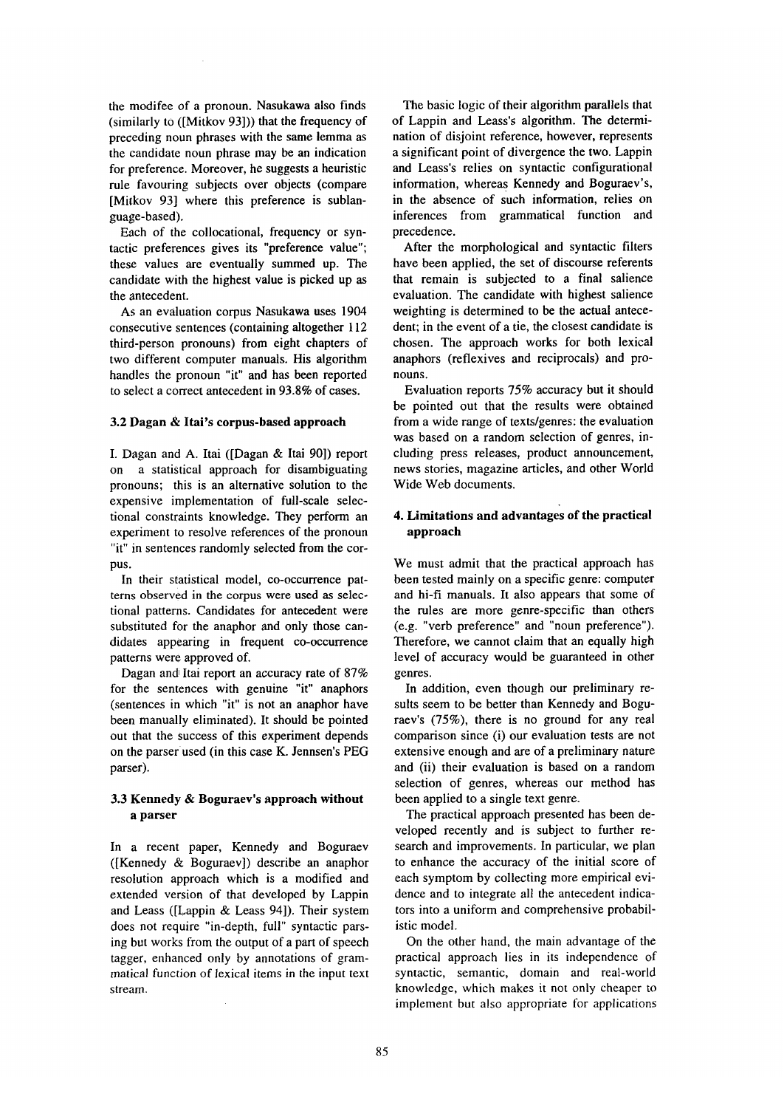the modifee of a pronoun. Nasukawa also finds (similarly to ([Mitkov 93])) that the frequency of preceding noun phrases with the same lemma as the candidate noun phrase may be an indication for preference. Moreover, he suggests a heuristic rule favouring subjects over objects (compare [Mitkov 93] where this preference is sublanguage-based).

Each of the collocational, frequency or syntactic preferences gives its "preference value"; these values are eventually summed up. The candidate with the highest value is picked up as the antecedent.

As an evaluation corpus Nasukawa uses 1904 consecutive sentences (containing altogether 112 third-person pronouns) from eight chapters of two different computer manuals. His algorithm handles the pronoun "it" and has been reported to select a correct antecedent in 93.8% of cases.

#### **3.2 Dagan & Itai's corpus-based approach**

I. Dagan and A. Itai ([Dagan & Itai 90]) report on a statistical approach for disambiguating pronouns; this is an alternative solution to the expensive implementation of full-scale selectional constraints knowledge. They perform an experiment to resolve references of the pronoun "it" in sentences randomly selected from the corpus.

In their statistical model, co-occurrence patterns observed in the corpus were used as selectional patterns. Candidates for antecedent were substituted for the anaphor and only those candidates appearing in frequent co-occurrence patterns were approved of.

Dagan and Itai report an accuracy rate of 87% for the sentences with genuine "it" anaphors (sentences in which "it" is not an anaphor have been manually eliminated). It should be pointed out that the success of this experiment depends on the parser used (in this case K. Jennsen's PEG parser).

## **3.3 Kennedy & Boguraev's approach without a parser**

In a recent paper, Kennedy and Boguraev ([Kennedy & Boguraev]) describe an anaphor resolution approach which is a modified and extended version of that developed by Lappin and Leass ([Lappin & Leass 94]). Their system does not require "in-depth, full" syntactic parsing but works from the output of a part of speech tagger, enhanced only by annotations of grammatical function of lexical items in the input text stream.

The basic logic of their algorithm parallels that of Lappin and Leass's algorithm. The determination of disjoint reference, however, represents a significant point of divergence the two. Lappin **and** Leass's relies on syntactic configurational information, whereas Kennedy and Boguraev's, in the absence of such information, relies on inferences from grammatical function and precedence.

After the morphological and syntactic filters have been applied, the set of discourse referents that remain is subjected to a final salience evaluation. The candidate with highest salience weighting is determined to be the actual antecedent; in the event of a tie, the closest candidate is chosen. The approach works for both lexical anaphors (reflexives and reciprocals) and pronouns.

Evaluation reports 75% accuracy but it should be pointed out that the results were obtained from a wide range of texts/genres: the evaluation was based on a random selection of genres, including press releases, product announcement, news stories, magazine articles, and other World Wide Web documents.

## **4. Limitations and advantages of the practical approach**

We must admit that the practical approach has been tested mainly on a specific genre: computer and hi-fi manuals. It also appears that some of the rules are more genre-specific than others (e.g. "verb preference" and "noun preference"). Therefore, we cannot claim that an equally high level of accuracy would be guaranteed in other genres.

In addition, even though our preliminary resuits seem to be better than Kennedy and Boguraev's (75%), there is no ground for any real comparison since (i) our evaluation tests are not extensive enough and are of a preliminary nature and (ii) their evaluation is based on a random selection of genres, whereas our method has been applied to a single text genre.

The practical approach presented has been developed recently and is subject to further research and improvements. In particular, we plan to enhance the accuracy of the initial score of each symptom by collecting more empirical evidence and to integrate all the antecedent indicators into a uniform and comprehensive probabilistic model.

On the other hand, the main advantage of the practical approach lies in its independence of syntactic, semantic, domain and real-world knowledge, which makes it not only cheaper to implement but also appropriate for applications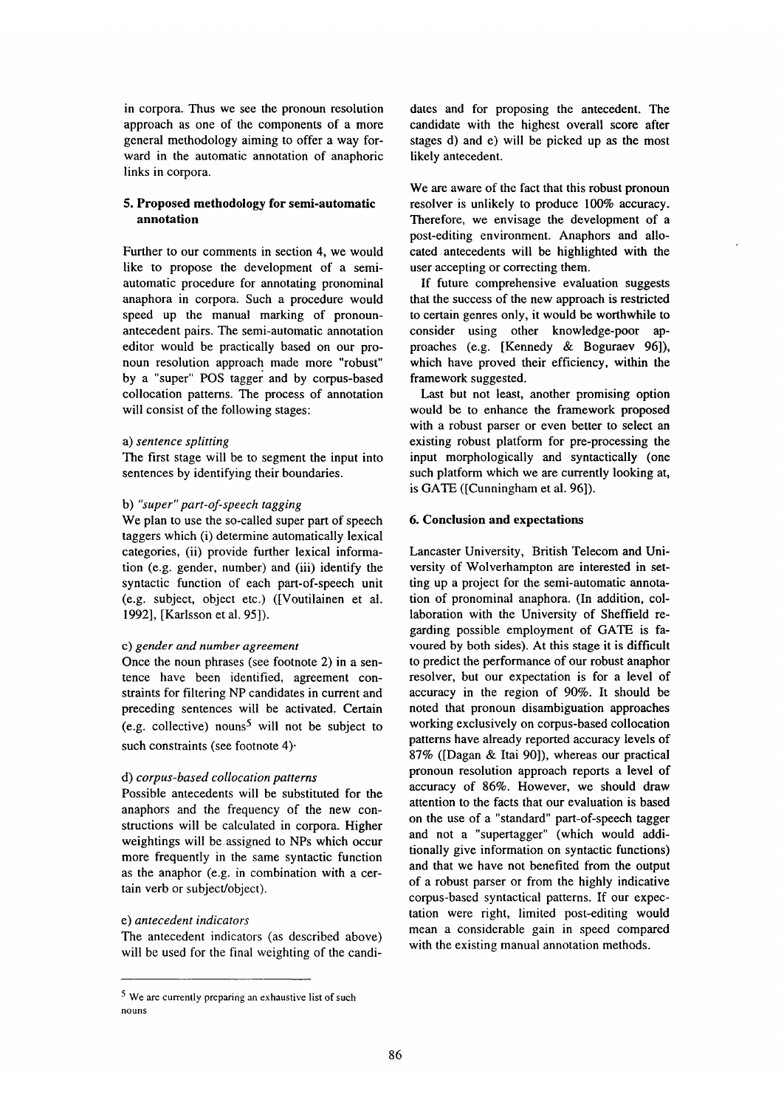in corpora. Thus we see the pronoun resolution approach as one of the components of a more general methodology aiming to offer a way forward in the automatic annotation of anaphoric links in corpora.

## **5. Proposed methodology for semi-automatic annotation**

Further to our comments in section 4, we would like to propose the development of a semiautomatic procedure for annotating pronominal anaphora in corpora. Such a procedure would speed up the manual marking of pronounantecedent pairs. The semi-automatic annotation editor would be practically based on our pronoun resolution approach made more "robust" by a "super" POS tagger and by corpus-based collocation patterns. The process of annotation will consist of the following stages:

## a) *sentence splitting*

The first stage will be to segment the input into sentences by identifying their boundaries.

## b) *"super"part-of-speech tagging*

We plan to use the so-called super part of speech taggers which (i) determine automatically lexical categories, (ii) provide further lexical information (e.g. gender, number) and (iii) identify the syntactic function of each part-of-speech unit (e.g. subject, object etc.) ([Voutilainen et al. 1992], [Karlsson et al. 95]).

#### c) *gender and number agreement*

Once the noun phrases (see footnote 2) in a sentence have been identified, agreement constraints for filtering NP candidates in current and preceding sentences will be activated. Certain (e.g. collective) nouns<sup>5</sup> will not be subject to such constraints (see footnote 4).

## d) *corpus-based collocation patterns*

Possible antecedents will be substituted for the anaphors and the frequency of the new constructions will be calculated in corpora. Higher weightings will be assigned to NPs which occur more frequently in the same syntactic function as the anaphor (e.g. in combination with a certain verb or subject/object).

#### *e) antecedent indicators*

The antecedent indicators (as described above) will be used for the final weighting of the candi-

dates and for proposing the antecedent. The candidate with the highest overall score after stages d) and e) will be picked up as the most likely antecedent.

We are aware of the fact that this robust pronoun resolver is unlikely to produce 100% accuracy. Therefore, we envisage the development of a post-editing environment. Anaphors and allocated antecedents will be highlighted with the user accepting or correcting them.

If future comprehensive evaluation suggests that the success of the new approach is restricted to certain genres only, it would be worthwhile to consider using other knowledge-poor approaches (e.g. [Kennedy & Boguraev 96]), which have proved their efficiency, within the framework suggested.

Last but not least, another promising option would be to enhance the framework proposed with a robust parser or even better to select an existing robust platform for pre-processing the input morphologically and syntactically (one such platform which we are currently looking at, is GATE ([Cunningham et al. 96]).

## 6. **Conclusion and** expectations

Lancaster University, British Telecom and University of Wolverhampton are interested in setting up a project for the semi-automatic annotation of pronominal anaphora. (In addition, collaboration with the University of Sheffield regarding possible employment of GATE is favoured by both sides). At this stage it is difficult to predict the performance of our robust anaphor resolver, but our expectation is for a level of accuracy in the region of 90%. It should be noted that pronoun disambiguation approaches working exclusively on corpus-based collocation patterns have already reported accuracy levels of 87% ([Dagan & Itai 90]), whereas our practical pronoun resolution approach reports a level of accuracy of 86%. However, we should draw attention to the facts that our evaluation is based on the use of a "standard" part-of-speech tagger and not a "supertagger" (which would additionally give information on syntactic functions) and that we have not benefited from the output of a robust parser or from the highly indicative corpus-based syntactical patterns. If our expectation were right, limited post-editing would mean a considerable gain in speed compared with the existing manual annotation methods.

<sup>5</sup> We are currently preparing an exhaustive list of such nouns